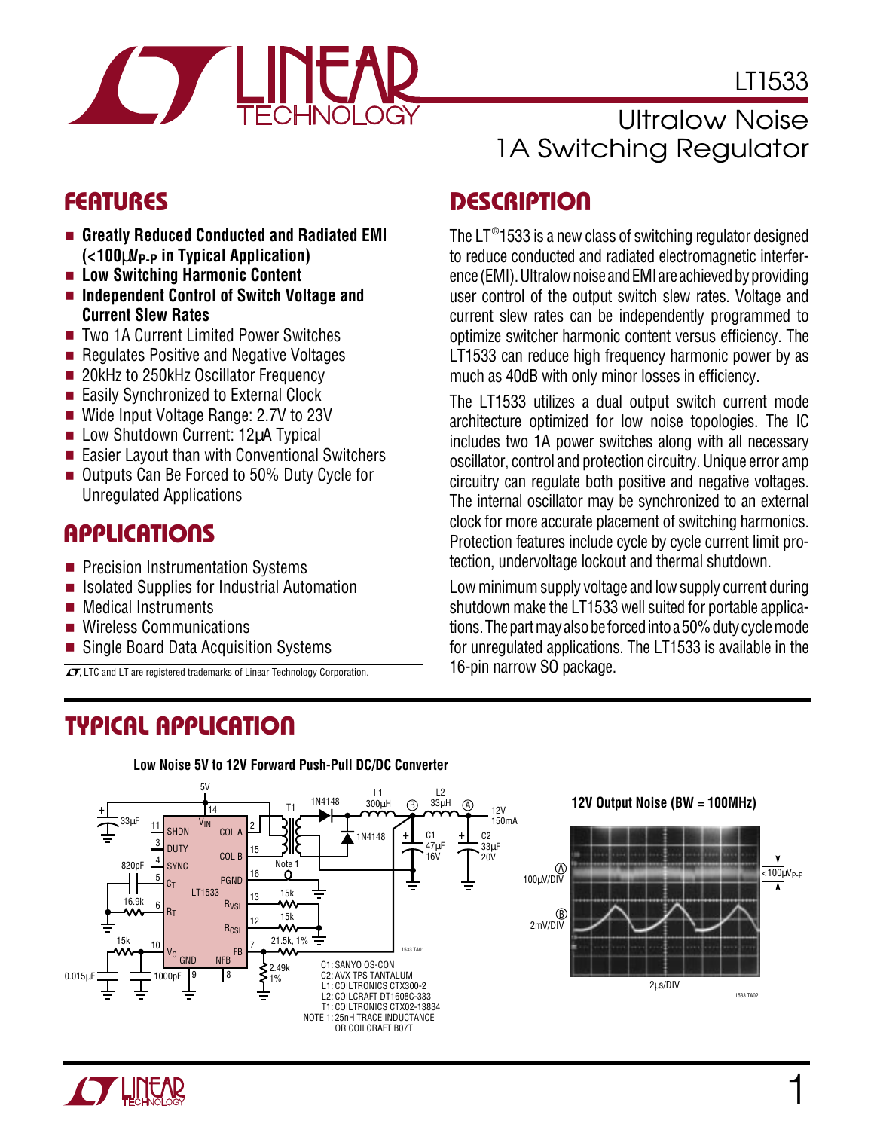

LT1533

- **Greatly Reduced Conducted and Radiated EMI (<100**µ**VP-P in Typical Application)**
- **Low Switching Harmonic Content**
- **Independent Control of Switch Voltage and Current Slew Rates**
- Two 1A Current Limited Power Switches
- Regulates Positive and Negative Voltages
- 20kHz to 250kHz Oscillator Frequency
- Easily Synchronized to External Clock
- Wide Input Voltage Range: 2.7V to 23V
- Low Shutdown Current: 12uA Typical
- Easier Layout than with Conventional Switchers
- Outputs Can Be Forced to 50% Duty Cycle for Unregulated Applications

#### **APPLICATIONS**  $\overline{\phantom{0}}$

- Precision Instrumentation Systems
- Isolated Supplies for Industrial Automation
- Medical Instruments
- Wireless Communications
- Single Board Data Acquisition Systems

 $\overline{\mathcal{L}}$ , LTC and LT are registered trademarks of Linear Technology Corporation.

# **TYPICAL APPLICATION U**

# Ultralow Noise 1A Switching Regulator

# **FEATURES DESCRIPTION U**

The LT®1533 is a new class of switching regulator designed to reduce conducted and radiated electromagnetic interference (EMI). Ultralow noise and EMI are achieved by providing user control of the output switch slew rates. Voltage and current slew rates can be independently programmed to optimize switcher harmonic content versus efficiency. The LT1533 can reduce high frequency harmonic power by as much as 40dB with only minor losses in efficiency.

The LT1533 utilizes a dual output switch current mode architecture optimized for low noise topologies. The IC includes two 1A power switches along with all necessary oscillator, control and protection circuitry. Unique error amp circuitry can regulate both positive and negative voltages. The internal oscillator may be synchronized to an external clock for more accurate placement of switching harmonics. Protection features include cycle by cycle current limit protection, undervoltage lockout and thermal shutdown.

Low minimum supply voltage and low supply current during shutdown make the LT1533 well suited for portable applications. The part may also be forced into a 50% duty cycle mode for unregulated applications. The LT1533 is available in the 16-pin narrow SO package.



#### **Low Noise 5V to 12V Forward Push-Pull DC/DC Converter**

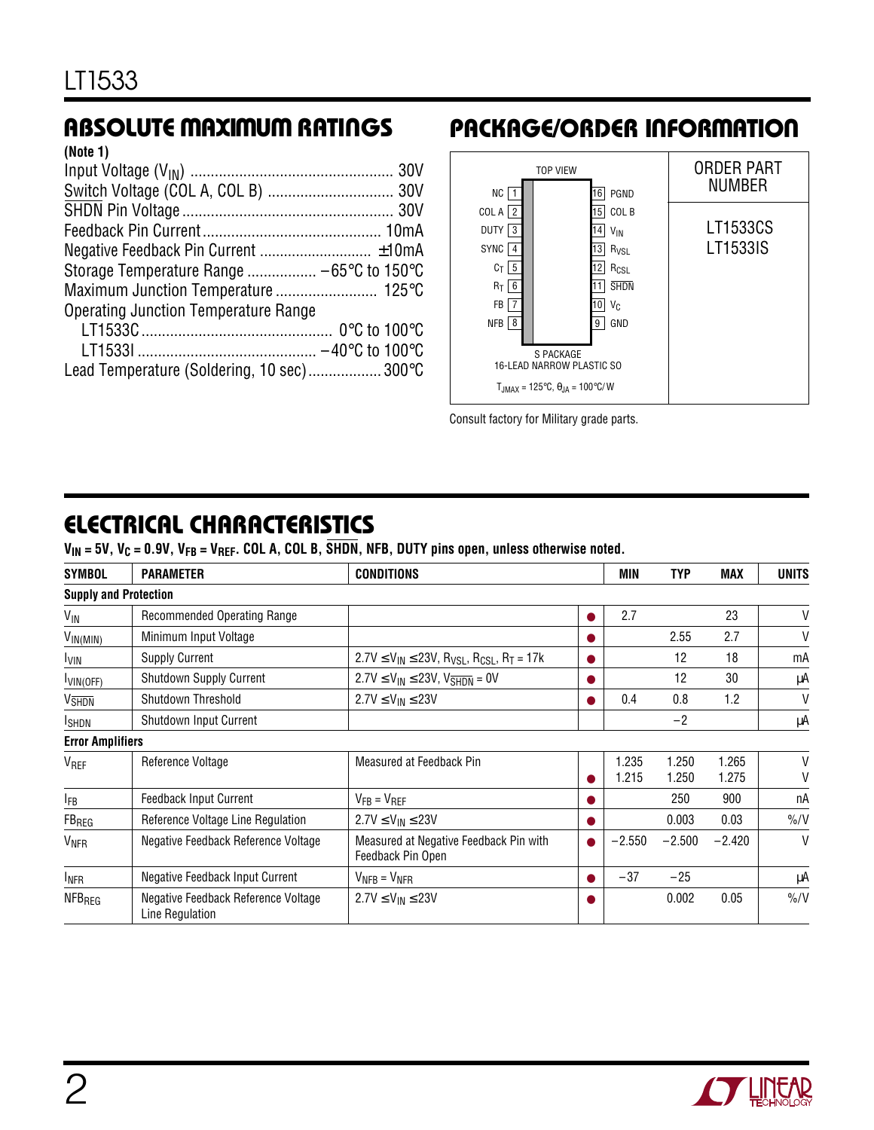### **ABSOLUTE MAXIMUM RATINGS**

| (Note 1)                                    |  |
|---------------------------------------------|--|
|                                             |  |
|                                             |  |
|                                             |  |
|                                             |  |
|                                             |  |
|                                             |  |
|                                             |  |
| <b>Operating Junction Temperature Range</b> |  |
|                                             |  |
|                                             |  |
| Lead Temperature (Soldering, 10 sec) 300°C  |  |
|                                             |  |

### **PACKAGE/ORDER INFORMATION**



Consult factory for Military grade parts.

### **ELECTRICAL CHARACTERISTICS**

 $V_{IN}$  = 5V,  $V_C$  = 0.9V,  $V_{FB}$  =  $V_{REF}$ . COL A, COL B,  $\overline{SHDN}$ , NFB, DUTY pins open, unless otherwise noted.

| <b>SYMBOL</b>                | <b>PARAMETER</b>                                       | <b>CONDITIONS</b>                                                 |           | <b>MIN</b>     | <b>TYP</b>     | <b>MAX</b>     | UNITS         |
|------------------------------|--------------------------------------------------------|-------------------------------------------------------------------|-----------|----------------|----------------|----------------|---------------|
| <b>Supply and Protection</b> |                                                        |                                                                   |           |                |                |                |               |
| VIN                          | Recommended Operating Range                            |                                                                   |           | 2.7            |                | 23             | V             |
| $V_{IN(MIN)}$                | Minimum Input Voltage                                  |                                                                   |           |                | 2.55           | 2.7            | V             |
| <b>IVIN</b>                  | <b>Supply Current</b>                                  | $2.7V \leq V_{IN} \leq 23V$ , $R_{VSL}$ , $R_{CSL}$ , $R_T = 17k$ |           |                | 12             | 18             | mA            |
| $I_{VIN(OFF)}$               | <b>Shutdown Supply Current</b>                         | $2.7V \leq V_{IN} \leq 23V$ , $V_{\overline{SHDN}} = 0V$          |           |                | 12             | 30             | μA            |
| <b>V<sub>SHDN</sub></b>      | Shutdown Threshold                                     | $2.7V \le V_{IN} \le 23V$                                         |           | 0.4            | 0.8            | 1.2            | V             |
| <b>I</b> SHDN                | Shutdown Input Current                                 |                                                                   |           |                | $-2$           |                | μA            |
| <b>Error Amplifiers</b>      |                                                        |                                                                   |           |                |                |                |               |
| V <sub>REF</sub>             | Reference Voltage                                      | Measured at Feedback Pin                                          |           | 1.235<br>1.215 | 1.250<br>1.250 | 1.265<br>1.275 | V<br>V        |
| <b>IFB</b>                   | <b>Feedback Input Current</b>                          | $V_{FB} = V_{REF}$                                                |           |                | 250            | 900            | пA            |
| $FB_{REG}$                   | Reference Voltage Line Regulation                      | $2.7V \le V_{IN} \le 23V$                                         |           |                | 0.003          | 0.03           | $\frac{9}{6}$ |
| <b>V<sub>NFR</sub></b>       | Negative Feedback Reference Voltage                    | Measured at Negative Feedback Pin with<br>Feedback Pin Open       | $\bullet$ | $-2.550$       | $-2.500$       | $-2.420$       | $\vee$        |
| <b>INFR</b>                  | Negative Feedback Input Current                        | $V_{NFB} = V_{NFR}$                                               |           | $-37$          | $-25$          |                | μA            |
| <b>NFB<sub>REG</sub></b>     | Negative Feedback Reference Voltage<br>Line Regulation | $2.7V \le V_{IN} \le 23V$                                         |           |                | 0.002          | 0.05           | $\frac{9}{6}$ |

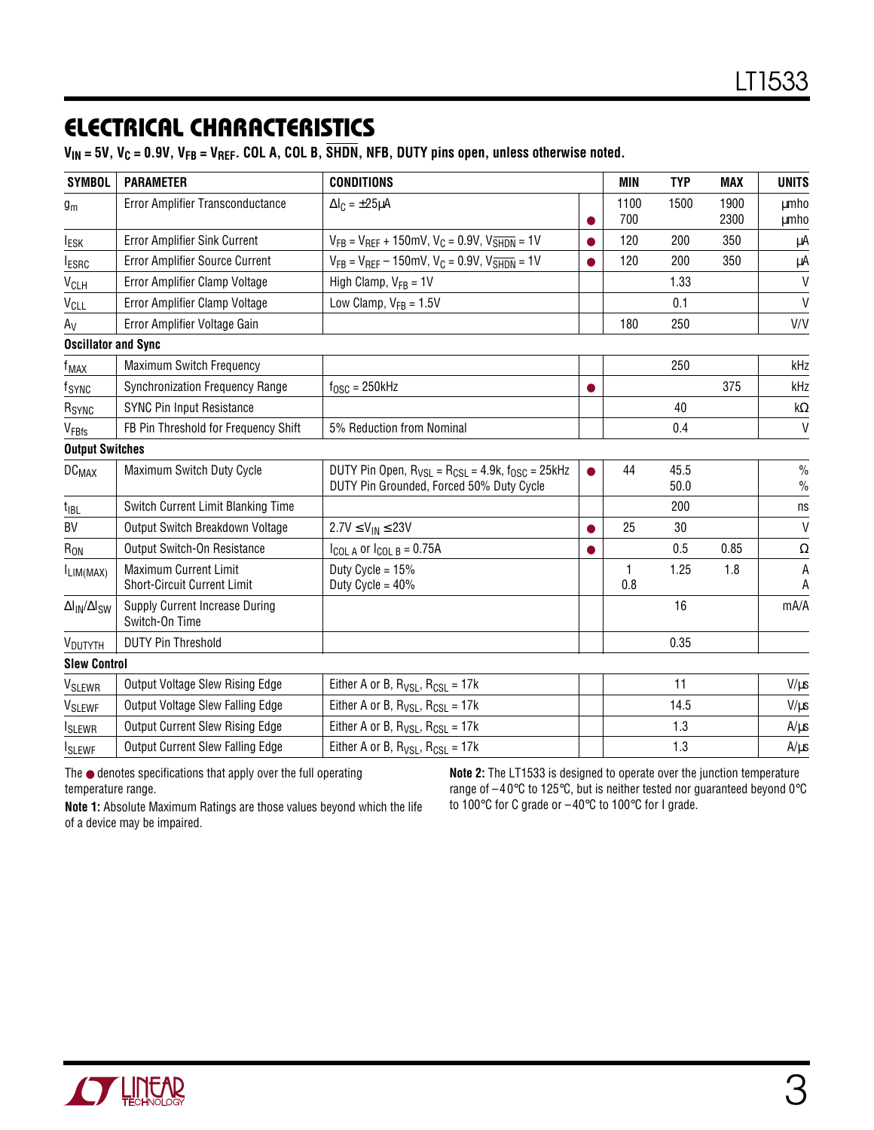### **ELECTRICAL CHARACTERISTICS**

 $V_{IN}$  = 5V,  $V_C$  = 0.9V,  $V_{FB}$  =  $V_{REF}$ . COL A, COL B,  $\overline{SHDN}$ , NFB, DUTY pins open, unless otherwise noted.

| <b>SYMBOL</b>                               | <b>PARAMETER</b>                                                   | <b>CONDITIONS</b>                                                                                          | MIN         | <b>TYP</b>   | <b>MAX</b>   | <b>UNITS</b>          |
|---------------------------------------------|--------------------------------------------------------------------|------------------------------------------------------------------------------------------------------------|-------------|--------------|--------------|-----------------------|
| $g_m$                                       | Error Amplifier Transconductance                                   | $\Delta I_C = \pm 25 \mu A$                                                                                | 1100<br>700 | 1500         | 1900<br>2300 | <b>umho</b><br>μmho   |
| <b>IESK</b>                                 | Error Amplifier Sink Current                                       | $V_{FB} = V_{REF} + 150$ mV, $V_C = 0.9V$ , $V_{SHDN} = 1V$                                                | 120         | 200          | 350          | μA                    |
| <b>IESRC</b>                                | Error Amplifier Source Current                                     | $V_{FB} = V_{REF} - 150$ mV, $V_C = 0.9V$ , $V_{SHDN} = 1V$                                                | 120         | 200          | 350          | μA                    |
| V <sub>CLH</sub>                            | Error Amplifier Clamp Voltage                                      | High Clamp, $V_{FB} = 1V$                                                                                  |             | 1.33         |              | V                     |
| <b>V<sub>CLL</sub></b>                      | Error Amplifier Clamp Voltage                                      | Low Clamp, $V_{FB} = 1.5V$                                                                                 |             | 0.1          |              | $\mathsf{V}$          |
| $A_V$                                       | Error Amplifier Voltage Gain                                       |                                                                                                            | 180         | 250          |              | V/V                   |
| <b>Oscillator and Sync</b>                  |                                                                    |                                                                                                            |             |              |              |                       |
| f <sub>MAX</sub>                            | Maximum Switch Frequency                                           |                                                                                                            |             | 250          |              | kHz                   |
| fsync                                       | Synchronization Frequency Range                                    | $f_{\rm OSC}$ = 250kHz                                                                                     |             |              | 375          | kHz                   |
| R <sub>SYNC</sub>                           | <b>SYNC Pin Input Resistance</b>                                   |                                                                                                            |             | 40           |              | kΩ                    |
| VFBfs                                       | FB Pin Threshold for Frequency Shift                               | 5% Reduction from Nominal                                                                                  |             | 0.4          |              | $\mathsf{V}$          |
| <b>Output Switches</b>                      |                                                                    |                                                                                                            |             |              |              |                       |
| <b>DC<sub>MAX</sub></b>                     | Maximum Switch Duty Cycle                                          | DUTY Pin Open, $R_{VSL}$ = $R_{CSL}$ = 4.9k, $f_{OSC}$ = 25kHz<br>DUTY Pin Grounded, Forced 50% Duty Cycle | 44          | 45.5<br>50.0 |              | $\frac{0}{0}$<br>$\%$ |
| $t_{IBL}$                                   | Switch Current Limit Blanking Time                                 |                                                                                                            |             | 200          |              | ns                    |
| BV                                          | Output Switch Breakdown Voltage                                    | $2.7V \le V_{IN} \le 23V$                                                                                  | 25          | 30           |              | $\mathsf{V}$          |
| $R_{ON}$                                    | <b>Output Switch-On Resistance</b>                                 | $I_{COL A}$ or $I_{COL B} = 0.75A$                                                                         |             | 0.5          | 0.85         | $\Omega$              |
| ILIM(MAX)                                   | <b>Maximum Current Limit</b><br><b>Short-Circuit Current Limit</b> | Duty Cycle = $15%$<br>Duty Cycle = $40\%$                                                                  | 1<br>0.8    | 1.25         | 1.8          | A<br>Α                |
| $\Delta I_{\text{IN}}/\Delta I_{\text{SW}}$ | Supply Current Increase During<br>Switch-On Time                   |                                                                                                            |             | 16           |              | mA/A                  |
| V <sub>DUTYTH</sub>                         | <b>DUTY Pin Threshold</b>                                          |                                                                                                            |             | 0.35         |              |                       |
| <b>Slew Control</b>                         |                                                                    |                                                                                                            |             |              |              |                       |
| V <sub>SLEWR</sub>                          | Output Voltage Slew Rising Edge                                    | Either A or B, $R_{VSL}$ , $R_{CSL} = 17k$                                                                 |             | 11           |              | $V/\mu s$             |
| V <sub>SLEWF</sub>                          | Output Voltage Slew Falling Edge                                   | Either A or B, $R_{VSL}$ , $R_{CSL} = 17k$                                                                 |             | 14.5         |              | $V/\mu s$             |
| <b>I</b> SLEWR                              | Output Current Slew Rising Edge                                    | Either A or B, $R_{VSL}$ , $R_{CSL} = 17k$                                                                 |             | 1.3          |              | $A/\mu s$             |
| <b>I</b> SLEWF                              | <b>Output Current Slew Falling Edge</b>                            | Either A or B, $R_{VSL}$ , $R_{CSL} = 17k$                                                                 |             | 1.3          |              | $A/\mu s$             |

The ● denotes specifications that apply over the full operating temperature range.

**Note 2:** The LT1533 is designed to operate over the junction temperature range of –40°C to 125°C, but is neither tested nor guaranteed beyond 0°C to 100°C for C grade or –40°C to 100°C for I grade.

**Note 1:** Absolute Maximum Ratings are those values beyond which the life of a device may be impaired.

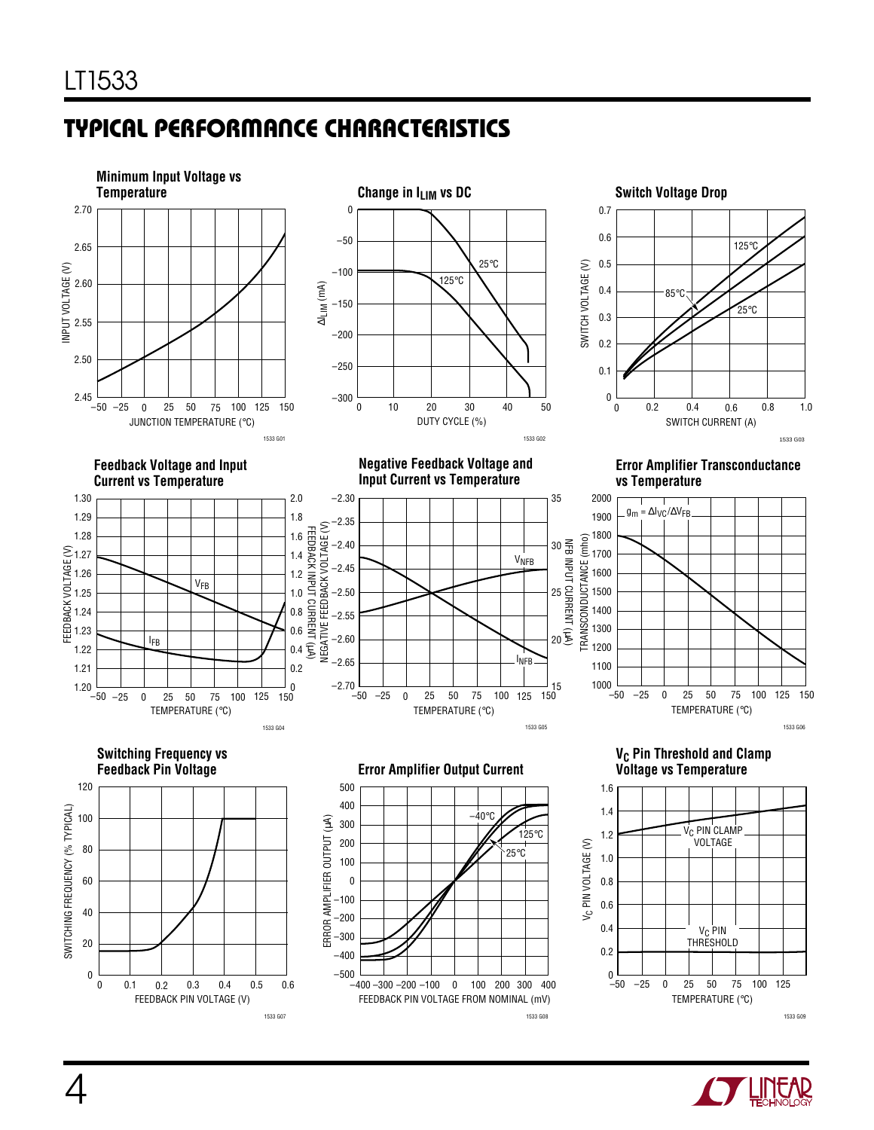# **TYPICAL PERFORMANCE CHARACTERISTICS U W**



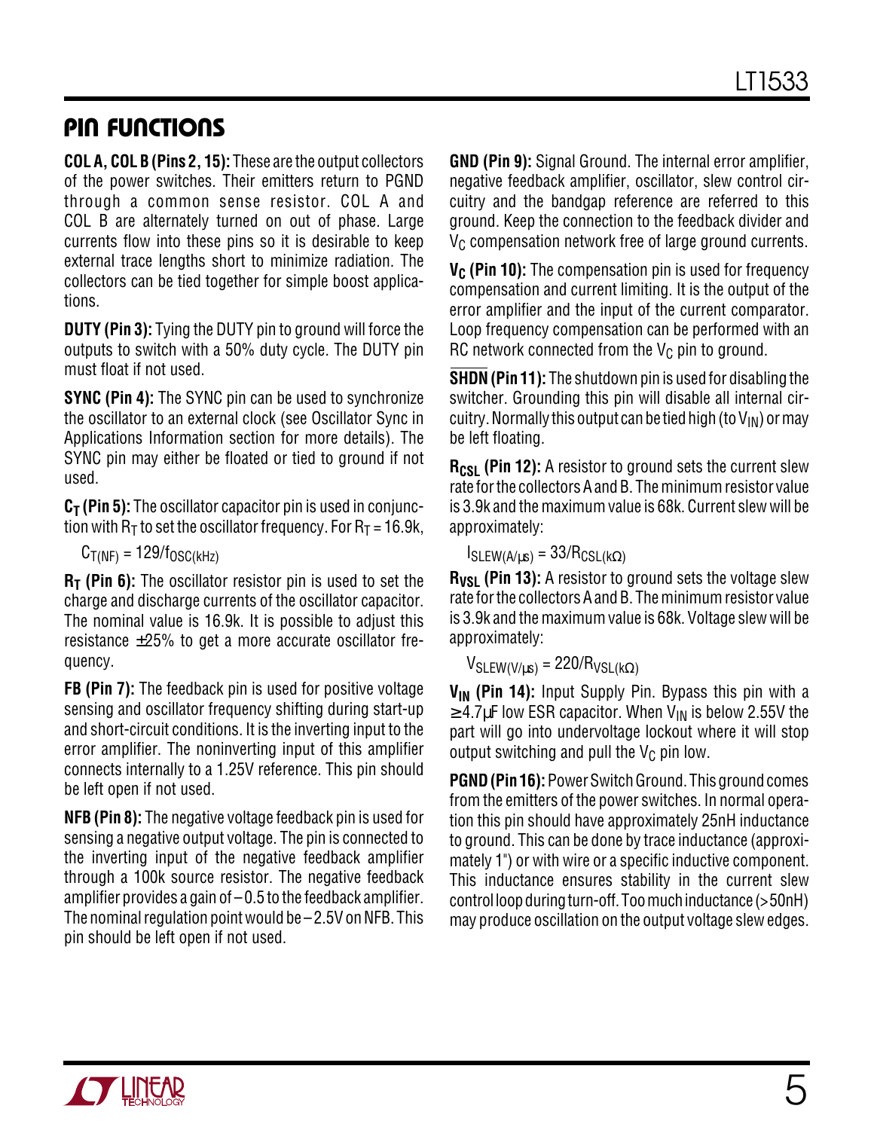### **PIN FUNCTIONS**

**COL A, COL B (Pins 2, 15):** These are the output collectors of the power switches. Their emitters return to PGND through a common sense resistor. COL A and COL B are alternately turned on out of phase. Large currents flow into these pins so it is desirable to keep external trace lengths short to minimize radiation. The collectors can be tied together for simple boost applications.

**DUTY (Pin 3):** Tying the DUTY pin to ground will force the outputs to switch with a 50% duty cycle. The DUTY pin must float if not used.

**SYNC (Pin 4):** The SYNC pin can be used to synchronize the oscillator to an external clock (see Oscillator Sync in Applications Information section for more details). The SYNC pin may either be floated or tied to ground if not used.

**C<sub>T</sub>** (Pin 5): The oscillator capacitor pin is used in conjunction with  $R_T$  to set the oscillator frequency. For  $R_T = 16.9$ k,

 $C_{T(NF)} = 129/f_{OSC(kHz)}$ 

**R<sub>T</sub>** (Pin 6): The oscillator resistor pin is used to set the charge and discharge currents of the oscillator capacitor. The nominal value is 16.9k. It is possible to adjust this resistance ±25% to get a more accurate oscillator frequency.

**FB (Pin 7):** The feedback pin is used for positive voltage sensing and oscillator frequency shifting during start-up and short-circuit conditions. It is the inverting input to the error amplifier. The noninverting input of this amplifier connects internally to a 1.25V reference. This pin should be left open if not used.

**NFB (Pin 8):** The negative voltage feedback pin is used for sensing a negative output voltage. The pin is connected to the inverting input of the negative feedback amplifier through a 100k source resistor. The negative feedback amplifier provides a gain of –0.5 to the feedback amplifier. The nominal regulation point would be  $-2.5V$  on NFB. This pin should be left open if not used.

**GND (Pin 9):** Signal Ground. The internal error amplifier, negative feedback amplifier, oscillator, slew control circuitry and the bandgap reference are referred to this ground. Keep the connection to the feedback divider and  $V_C$  compensation network free of large ground currents.

**V<sub>C</sub>** (Pin 10): The compensation pin is used for frequency compensation and current limiting. It is the output of the error amplifier and the input of the current comparator. Loop frequency compensation can be performed with an RC network connected from the  $V_C$  pin to ground.

**SHDN (Pin 11):** The shutdown pin is used for disabling the switcher. Grounding this pin will disable all internal circuitry. Normally this output can be tied high (to  $V_{IN}$ ) or may be left floating.

**R<sub>CSL</sub>** (Pin 12): A resistor to ground sets the current slew rate for the collectors A and B. The minimum resistor value is 3.9k and the maximum value is 68k. Current slew will be approximately:

### $I_{SLEW(A/\mu s)} = 33/R_{CSL(k\Omega)}$

**R<sub>VSL</sub>** (Pin 13): A resistor to ground sets the voltage slew rate for the collectors A and B. The minimum resistor value is 3.9k and the maximum value is 68k. Voltage slew will be approximately:

 $V_{SLEW(V/\mu s)} = 220/R_{VSL(k\Omega)}$ 

V<sub>IN</sub> (Pin 14): Input Supply Pin. Bypass this pin with a  $\geq$  4.7µF low ESR capacitor. When V<sub>IN</sub> is below 2.55V the part will go into undervoltage lockout where it will stop output switching and pull the  $V_C$  pin low.

**PGND (Pin 16):** Power Switch Ground. This ground comes from the emitters of the power switches. In normal operation this pin should have approximately 25nH inductance to ground. This can be done by trace inductance (approximately 1") or with wire or a specific inductive component. This inductance ensures stability in the current slew control loop during turn-off. Too much inductance (>50nH) may produce oscillation on the output voltage slew edges.

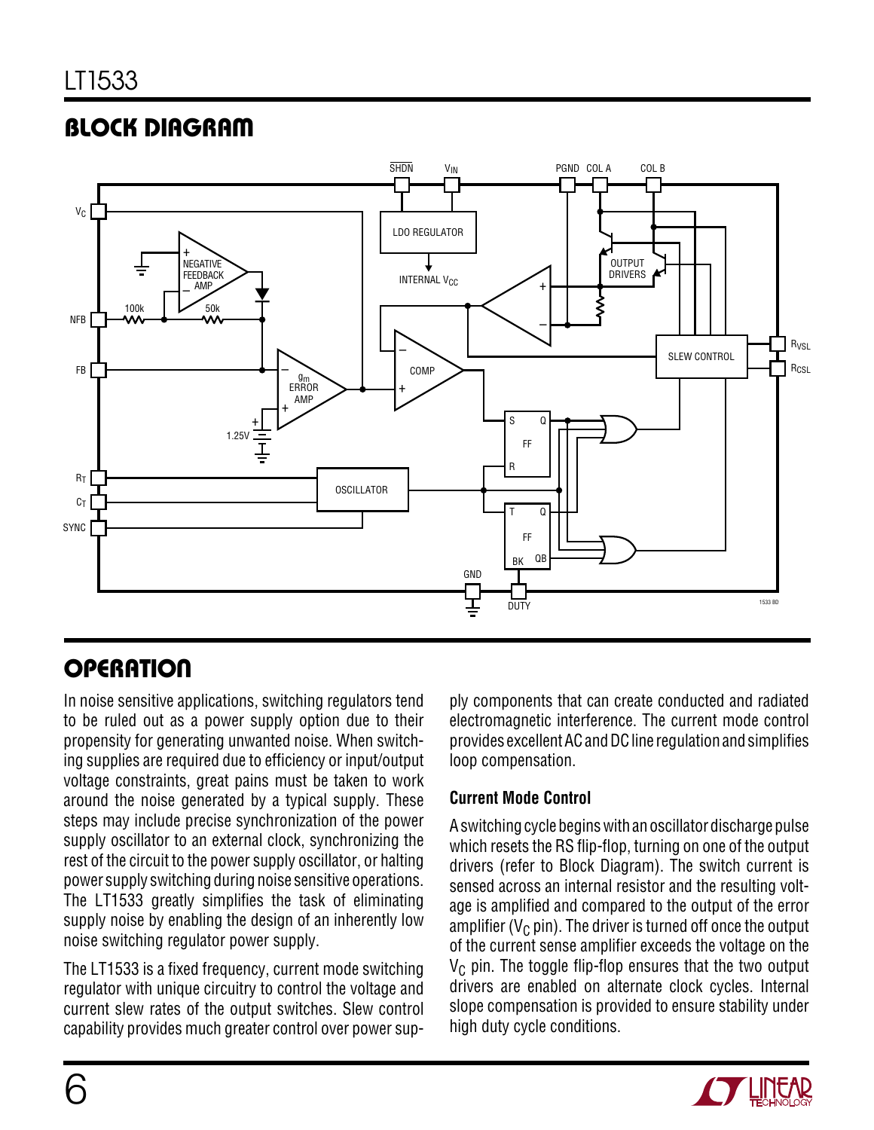# **BLOCK DIAGRAM**



# **OPERATION**

In noise sensitive applications, switching regulators tend to be ruled out as a power supply option due to their propensity for generating unwanted noise. When switching supplies are required due to efficiency or input/output voltage constraints, great pains must be taken to work around the noise generated by a typical supply. These steps may include precise synchronization of the power supply oscillator to an external clock, synchronizing the rest of the circuit to the power supply oscillator, or halting power supply switching during noise sensitive operations. The LT1533 greatly simplifies the task of eliminating supply noise by enabling the design of an inherently low noise switching regulator power supply.

The LT1533 is a fixed frequency, current mode switching regulator with unique circuitry to control the voltage and current slew rates of the output switches. Slew control capability provides much greater control over power supply components that can create conducted and radiated electromagnetic interference. The current mode control provides excellent AC and DC line regulation and simplifies loop compensation.

#### **Current Mode Control**

A switching cycle begins with an oscillator discharge pulse which resets the RS flip-flop, turning on one of the output drivers (refer to Block Diagram). The switch current is sensed across an internal resistor and the resulting voltage is amplified and compared to the output of the error amplifier ( $V_{\rm C}$  pin). The driver is turned off once the output of the current sense amplifier exceeds the voltage on the  $V<sub>C</sub>$  pin. The toggle flip-flop ensures that the two output drivers are enabled on alternate clock cycles. Internal slope compensation is provided to ensure stability under high duty cycle conditions.

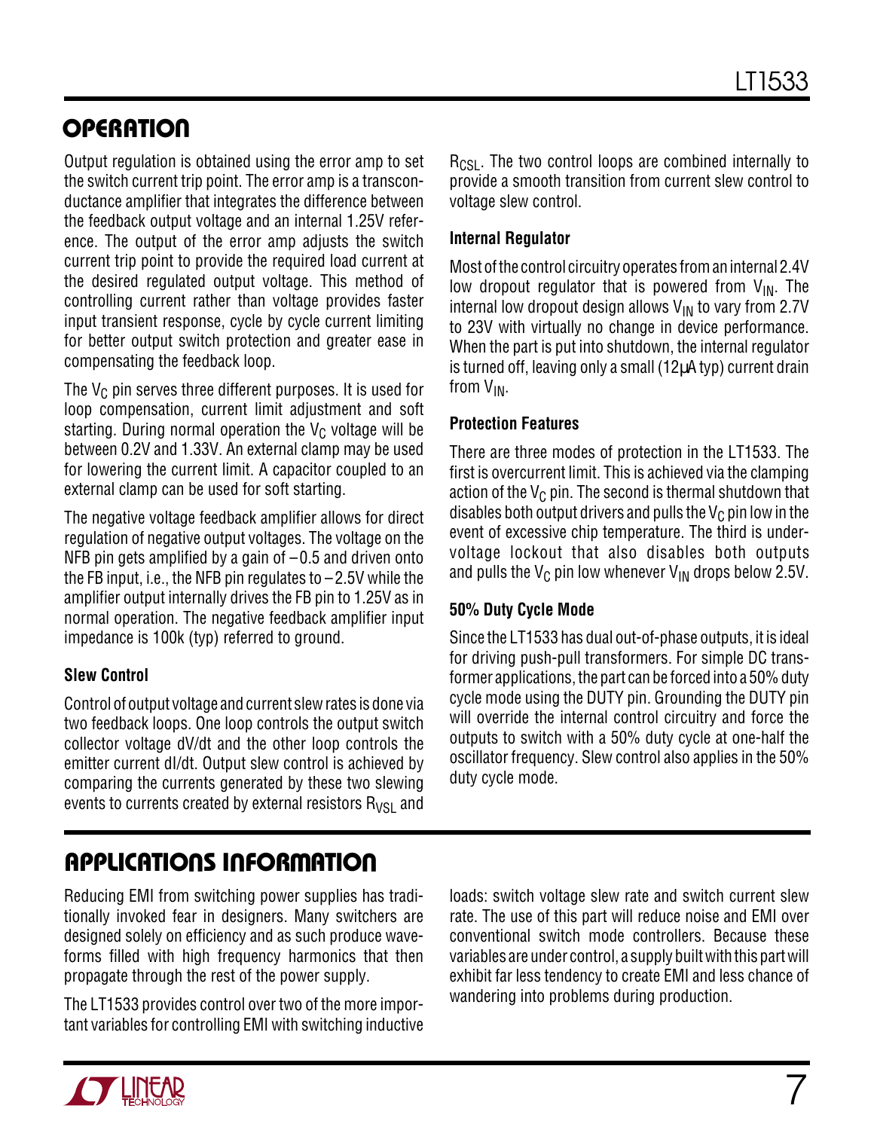# **OPERATION**

Output regulation is obtained using the error amp to set the switch current trip point. The error amp is a transconductance amplifier that integrates the difference between the feedback output voltage and an internal 1.25V reference. The output of the error amp adjusts the switch current trip point to provide the required load current at the desired regulated output voltage. This method of controlling current rather than voltage provides faster input transient response, cycle by cycle current limiting for better output switch protection and greater ease in compensating the feedback loop.

The  $V_C$  pin serves three different purposes. It is used for loop compensation, current limit adjustment and soft starting. During normal operation the  $V_C$  voltage will be between 0.2V and 1.33V. An external clamp may be used for lowering the current limit. A capacitor coupled to an external clamp can be used for soft starting.

The negative voltage feedback amplifier allows for direct regulation of negative output voltages. The voltage on the NFB pin gets amplified by a gain of  $-0.5$  and driven onto the FB input, i.e., the NFB pin regulates to  $-2.5V$  while the amplifier output internally drives the FB pin to 1.25V as in normal operation. The negative feedback amplifier input impedance is 100k (typ) referred to ground.

#### **Slew Control**

Control of output voltage and current slew rates is done via two feedback loops. One loop controls the output switch collector voltage dV/dt and the other loop controls the emitter current dI/dt. Output slew control is achieved by comparing the currents generated by these two slewing events to currents created by external resistors  $R_{VSL}$  and

R<sub>CSL</sub>. The two control loops are combined internally to provide a smooth transition from current slew control to voltage slew control.

#### **Internal Regulator**

Most of the control circuitry operates from an internal 2.4V low dropout regulator that is powered from  $V_{IN}$ . The internal low dropout design allows  $V_{IN}$  to vary from 2.7V to 23V with virtually no change in device performance. When the part is put into shutdown, the internal regulator is turned off, leaving only a small  $(12\mu A \cdot y)$  current drain from VIN.

#### **Protection Features**

There are three modes of protection in the LT1533. The first is overcurrent limit. This is achieved via the clamping action of the  $V_C$  pin. The second is thermal shutdown that disables both output drivers and pulls the  $V_C$  pin low in the event of excessive chip temperature. The third is undervoltage lockout that also disables both outputs and pulls the  $V_C$  pin low whenever  $V_{IN}$  drops below 2.5V.

#### **50% Duty Cycle Mode**

Since the LT1533 has dual out-of-phase outputs, it is ideal for driving push-pull transformers. For simple DC transformer applications, the part can be forced into a 50% duty cycle mode using the DUTY pin. Grounding the DUTY pin will override the internal control circuitry and force the outputs to switch with a 50% duty cycle at one-half the oscillator frequency. Slew control also applies in the 50% duty cycle mode.

# **APPLICATIONS INFORMATION U W U U**

Reducing EMI from switching power supplies has traditionally invoked fear in designers. Many switchers are designed solely on efficiency and as such produce waveforms filled with high frequency harmonics that then propagate through the rest of the power supply.

The LT1533 provides control over two of the more important variables for controlling EMI with switching inductive loads: switch voltage slew rate and switch current slew rate. The use of this part will reduce noise and EMI over conventional switch mode controllers. Because these variables are under control, a supply built with this part will exhibit far less tendency to create EMI and less chance of wandering into problems during production.

7

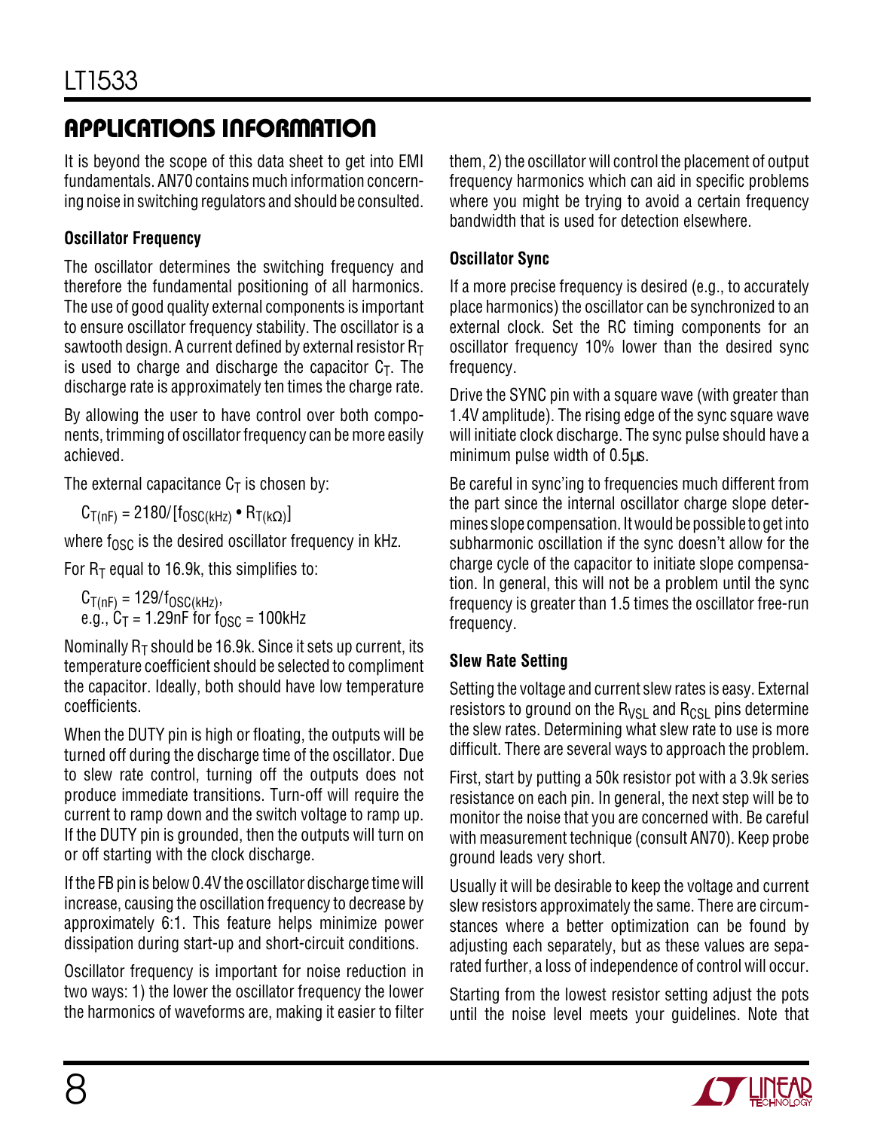It is beyond the scope of this data sheet to get into EMI fundamentals. AN70 contains much information concerning noise in switching regulators and should be consulted.

#### **Oscillator Frequency**

The oscillator determines the switching frequency and therefore the fundamental positioning of all harmonics. The use of good quality external components is important to ensure oscillator frequency stability. The oscillator is a sawtooth design. A current defined by external resistor  $R_T$ is used to charge and discharge the capacitor  $C<sub>T</sub>$ . The discharge rate is approximately ten times the charge rate.

By allowing the user to have control over both components, trimming of oscillator frequency can be more easily achieved.

The external capacitance  $C_T$  is chosen by:

 $C_{T(nF)} = 2180/[f_{OSC(kHz)} \cdot R_{T(kΩ)}]$ 

where  $f_{\rm OSC}$  is the desired oscillator frequency in kHz.

For  $R_T$  equal to 16.9k, this simplifies to:

 $\mathrm{C_{T(nF)}}$  = 129/f<sub>OSC(kHz)</sub>, e.g., C $_\mathsf{T}$  = 1.29nF for f $_\mathsf{OSC}$  = 100kHz

Nominally  $R<sub>T</sub>$  should be 16.9k. Since it sets up current, its temperature coefficient should be selected to compliment the capacitor. Ideally, both should have low temperature coefficients.

When the DUTY pin is high or floating, the outputs will be turned off during the discharge time of the oscillator. Due to slew rate control, turning off the outputs does not produce immediate transitions. Turn-off will require the current to ramp down and the switch voltage to ramp up. If the DUTY pin is grounded, then the outputs will turn on or off starting with the clock discharge.

If the FB pin is below 0.4V the oscillator discharge time will increase, causing the oscillation frequency to decrease by approximately 6:1. This feature helps minimize power dissipation during start-up and short-circuit conditions.

Oscillator frequency is important for noise reduction in two ways: 1) the lower the oscillator frequency the lower the harmonics of waveforms are, making it easier to filter them, 2) the oscillator will control the placement of output frequency harmonics which can aid in specific problems where you might be trying to avoid a certain frequency bandwidth that is used for detection elsewhere.

#### **Oscillator Sync**

If a more precise frequency is desired (e.g., to accurately place harmonics) the oscillator can be synchronized to an external clock. Set the RC timing components for an oscillator frequency 10% lower than the desired sync frequency.

Drive the SYNC pin with a square wave (with greater than 1.4V amplitude). The rising edge of the sync square wave will initiate clock discharge. The sync pulse should have a minimum pulse width of 0.5µs.

Be careful in sync'ing to frequencies much different from the part since the internal oscillator charge slope determines slope compensation. It would be possible to get into subharmonic oscillation if the sync doesn't allow for the charge cycle of the capacitor to initiate slope compensation. In general, this will not be a problem until the sync frequency is greater than 1.5 times the oscillator free-run frequency.

#### **Slew Rate Setting**

Setting the voltage and current slew rates is easy. External resistors to ground on the  $R_{VSL}$  and  $R_{CSL}$  pins determine the slew rates. Determining what slew rate to use is more difficult. There are several ways to approach the problem.

First, start by putting a 50k resistor pot with a 3.9k series resistance on each pin. In general, the next step will be to monitor the noise that you are concerned with. Be careful with measurement technique (consult AN70). Keep probe ground leads very short.

Usually it will be desirable to keep the voltage and current slew resistors approximately the same. There are circumstances where a better optimization can be found by adjusting each separately, but as these values are separated further, a loss of independence of control will occur.

Starting from the lowest resistor setting adjust the pots until the noise level meets your guidelines. Note that

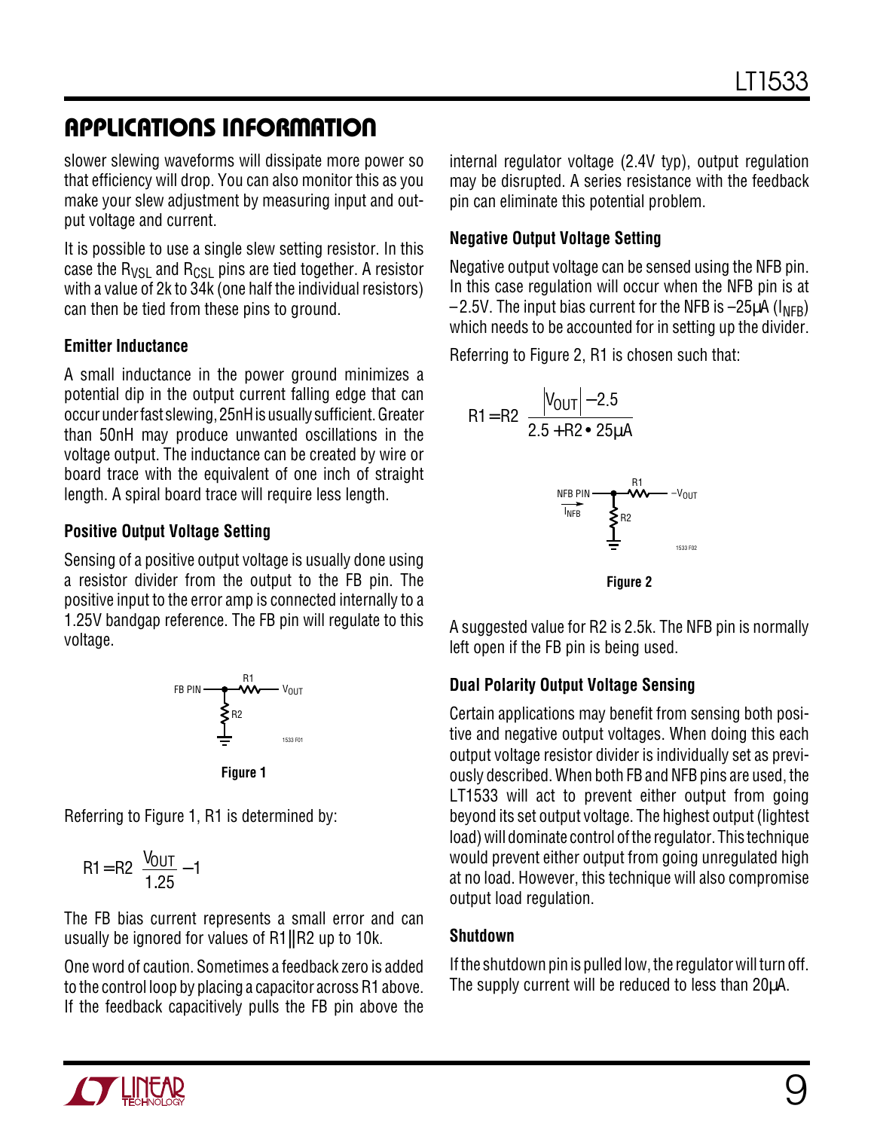slower slewing waveforms will dissipate more power so that efficiency will drop. You can also monitor this as you make your slew adjustment by measuring input and output voltage and current.

It is possible to use a single slew setting resistor. In this case the  $R_{VSI}$  and  $R_{CSI}$  pins are tied together. A resistor with a value of 2k to 34k (one half the individual resistors) can then be tied from these pins to ground.

#### **Emitter Inductance**

A small inductance in the power ground minimizes a potential dip in the output current falling edge that can occur under fast slewing, 25nH is usually sufficient. Greater than 50nH may produce unwanted oscillations in the voltage output. The inductance can be created by wire or board trace with the equivalent of one inch of straight length. A spiral board trace will require less length.

#### **Positive Output Voltage Setting**

Sensing of a positive output voltage is usually done using a resistor divider from the output to the FB pin. The positive input to the error amp is connected internally to a 1.25V bandgap reference. The FB pin will regulate to this voltage.





Referring to Figure 1, R1 is determined by:

$$
R1 = R2 \left( \frac{V_{OUT}}{1.25} - 1 \right)
$$

The FB bias current represents a small error and can usually be ignored for values of R1||R2 up to 10k.

One word of caution. Sometimes a feedback zero is added to the control loop by placing a capacitor across R1 above. If the feedback capacitively pulls the FB pin above the internal regulator voltage (2.4V typ), output regulation may be disrupted. A series resistance with the feedback pin can eliminate this potential problem.

#### **Negative Output Voltage Setting**

Negative output voltage can be sensed using the NFB pin. In this case regulation will occur when the NFB pin is at  $-2.5V$ . The input bias current for the NFB is  $-25\mu A$  ( $I<sub>NFR</sub>$ ) which needs to be accounted for in setting up the divider.

Referring to Figure 2, R1 is chosen such that:





A suggested value for R2 is 2.5k. The NFB pin is normally left open if the FB pin is being used.

#### **Dual Polarity Output Voltage Sensing**

Certain applications may benefit from sensing both positive and negative output voltages. When doing this each output voltage resistor divider is individually set as previously described. When both FB and NFB pins are used, the LT1533 will act to prevent either output from going beyond its set output voltage. The highest output (lightest load) will dominate control of the regulator. This technique would prevent either output from going unregulated high at no load. However, this technique will also compromise output load regulation.

#### **Shutdown**

If the shutdown pin is pulled low, the regulator will turn off. The supply current will be reduced to less than 20µA.

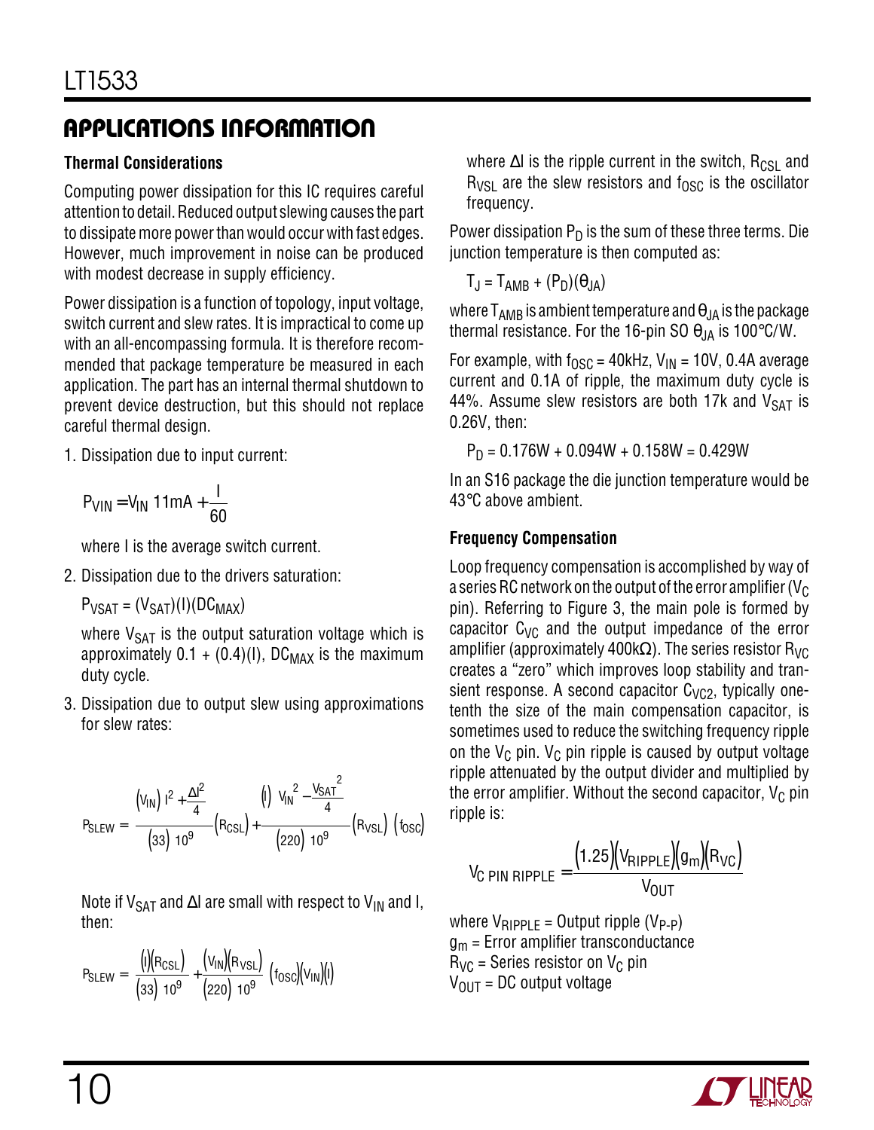### **Thermal Considerations**

Computing power dissipation for this IC requires careful attention to detail. Reduced output slewing causes the part to dissipate more power than would occur with fast edges. However, much improvement in noise can be produced with modest decrease in supply efficiency.

Power dissipation is a function of topology, input voltage, switch current and slew rates. It is impractical to come up with an all-encompassing formula. It is therefore recommended that package temperature be measured in each application. The part has an internal thermal shutdown to prevent device destruction, but this should not replace careful thermal design.

1. Dissipation due to input current:

$$
P_{VIN} = V_{IN} \left( 11mA + \frac{1}{60} \right)
$$

where I is the average switch current.

2. Dissipation due to the drivers saturation:

 $P_{VSAT} = (V_{SAT})(I)(DC_{MAX})$ 

where  $V_{\text{SAT}}$  is the output saturation voltage which is approximately  $0.1 + (0.4)(I)$ , DC<sub>MAX</sub> is the maximum duty cycle.

3. Dissipation due to output slew using approximations for slew rates:

$$
P_{SLEW} = \left(\frac{(V_{IN})(1^2 + \frac{\Delta I^2}{4})}{(33)(10^9)}(R_{CSL}) + \frac{(1)(V_{IN}^2 - \frac{V_{SAT}^2}{4})}{(220)(10^9)}(R_{VSL})\right)(6sc)
$$

Note if V<sub>SAT</sub> and ∆I are small with respect to V<sub>IN</sub> and I, then:

$$
P_{SLEW} = \left(\frac{(I)(R_{CSL})}{(33)(10^9)} + \frac{(V_{IN})(R_{VSL})}{(220)(10^9)}\right) (f_{OSC})(V_{IN})(I)
$$

where  $\Delta I$  is the ripple current in the switch, R<sub>CSL</sub> and  $R_{VS}$  are the slew resistors and  $f_{OSC}$  is the oscillator frequency.

Power dissipation  $P_D$  is the sum of these three terms. Die junction temperature is then computed as:

 $T_J = T_{AMB} + (P_D)(\theta_{JA})$ 

where  $T_{AMB}$  is ambient temperature and  $\theta_{JA}$  is the package thermal resistance. For the 16-pin SO  $\theta_{JA}$  is 100°C/W.

For example, with  $f_{\text{OSC}} = 40$ kHz, V<sub>IN</sub> = 10V, 0.4A average current and 0.1A of ripple, the maximum duty cycle is 44%. Assume slew resistors are both 17k and  $V_{\text{SAT}}$  is 0.26V, then:

$$
P_D = 0.176W + 0.094W + 0.158W = 0.429W
$$

In an S16 package the die junction temperature would be 43°C above ambient.

#### **Frequency Compensation**

Loop frequency compensation is accomplished by way of a series RC network on the output of the error amplifier ( $V_C$ pin). Referring to Figure 3, the main pole is formed by capacitor  $C_{VC}$  and the output impedance of the error amplifier (approximately 400kΩ). The series resistor R<sub>VC</sub> creates a "zero" which improves loop stability and transient response. A second capacitor  $C_{\text{VC2}}$ , typically onetenth the size of the main compensation capacitor, is sometimes used to reduce the switching frequency ripple on the  $V_C$  pin.  $V_C$  pin ripple is caused by output voltage ripple attenuated by the output divider and multiplied by the error amplifier. Without the second capacitor,  $V_C$  pin ripple is:

$$
V_{C PIN RIPPLE} = \frac{(1.25)(V_{RIPPLE})(g_m)(R_{VC})}{V_{OUT}}
$$

where  $V_{RIPPLE} =$  Output ripple (V<sub>P-P</sub>)  $g_m$  = Error amplifier transconductance  $R_{VC}$  = Series resistor on V<sub>C</sub> pin  $V_{\text{OUT}}$  = DC output voltage

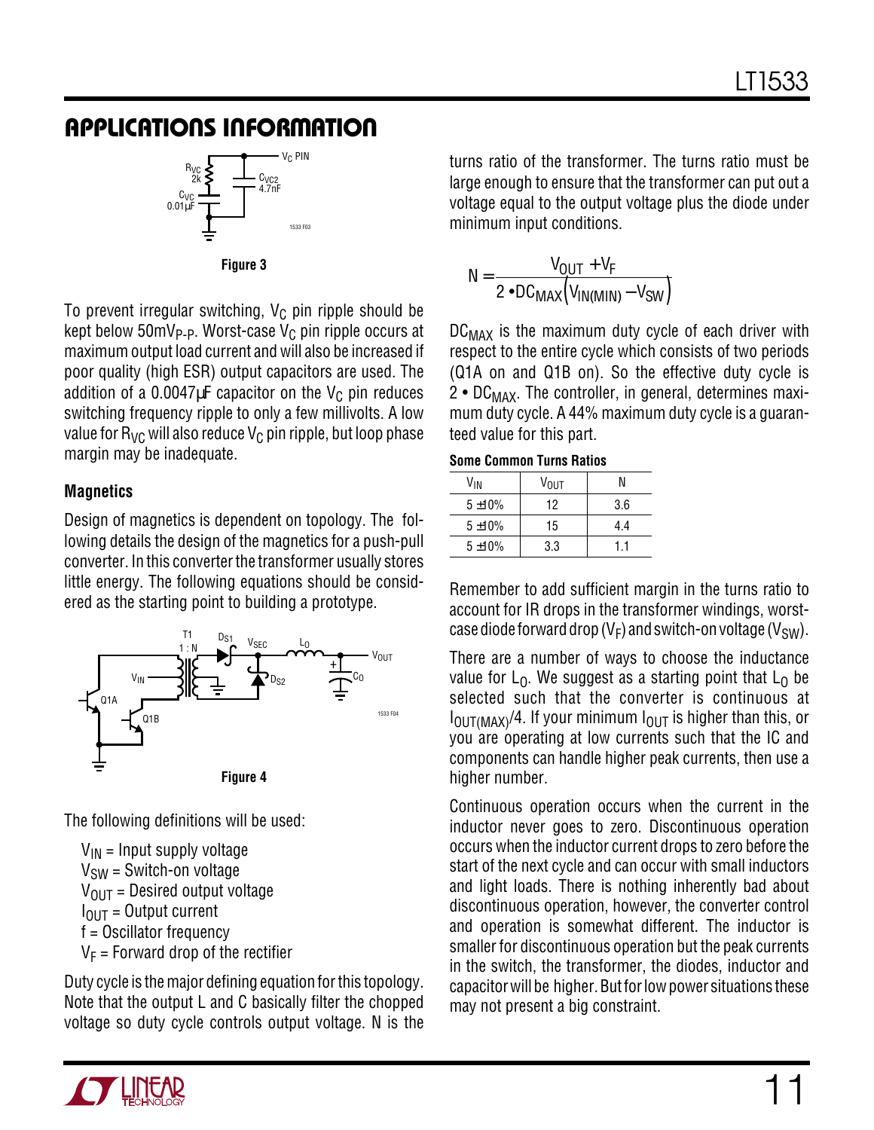

To prevent irregular switching,  $V_C$  pin ripple should be kept below 50mV<sub>P-P</sub>. Worst-case V<sub>C</sub> pin ripple occurs at maximum output load current and will also be increased if poor quality (high ESR) output capacitors are used. The addition of a 0.0047 $\mu$ F capacitor on the V<sub>C</sub> pin reduces switching frequency ripple to only a few millivolts. A low value for  $R_{VC}$  will also reduce  $V_C$  pin ripple, but loop phase margin may be inadequate.

#### **Magnetics**

Design of magnetics is dependent on topology. The following details the design of the magnetics for a push-pull converter. In this converter the transformer usually stores little energy. The following equations should be considered as the starting point to building a prototype.



The following definitions will be used:

 $V_{IN}$  = Input supply voltage  $V<sub>SW</sub>$  = Switch-on voltage  $V_{\text{OUT}}$  = Desired output voltage  $I<sub>OIII</sub> = Output current$ f = Oscillator frequency  $V_F$  = Forward drop of the rectifier

Duty cycle is the major defining equation for this topology. Note that the output L and C basically filter the chopped voltage so duty cycle controls output voltage. N is the turns ratio of the transformer. The turns ratio must be large enough to ensure that the transformer can put out a voltage equal to the output voltage plus the diode under minimum input conditions.

$$
N = \frac{V_{OUT} + V_F}{2 \cdot DC_{MAX}(V_{IN(MIN)} - V_{SW})}
$$

 $DC_{MAX}$  is the maximum duty cycle of each driver with respect to the entire cycle which consists of two periods (Q1A on and Q1B on). So the effective duty cycle is  $2 \cdot DC_{MAX}$ . The controller, in general, determines maximum duty cycle. A 44% maximum duty cycle is a guaranteed value for this part.

| <b>Some Common Turns Ratios</b> |  |  |  |
|---------------------------------|--|--|--|
|---------------------------------|--|--|--|

| V <sub>IN</sub> | V <sub>OUT</sub> | N   |
|-----------------|------------------|-----|
| $5 + 10%$       | 12               | 3.6 |
| $5 + 10%$       | 15               | 4.4 |
| $5 + 10%$       | 3.3              | 11  |

Remember to add sufficient margin in the turns ratio to account for IR drops in the transformer windings, worstcase diode forward drop ( $V_F$ ) and switch-on voltage ( $V_{SW}$ ).

There are a number of ways to choose the inductance value for  $L_0$ . We suggest as a starting point that  $L_0$  be selected such that the converter is continuous at  $I_{\text{OUT}(MAX)}$ /4. If your minimum  $I_{\text{OUT}}$  is higher than this, or you are operating at low currents such that the IC and components can handle higher peak currents, then use a higher number.

Continuous operation occurs when the current in the inductor never goes to zero. Discontinuous operation occurs when the inductor current drops to zero before the start of the next cycle and can occur with small inductors and light loads. There is nothing inherently bad about discontinuous operation, however, the converter control and operation is somewhat different. The inductor is smaller for discontinuous operation but the peak currents in the switch, the transformer, the diodes, inductor and capacitor will be higher. But for low power situations these may not present a big constraint.

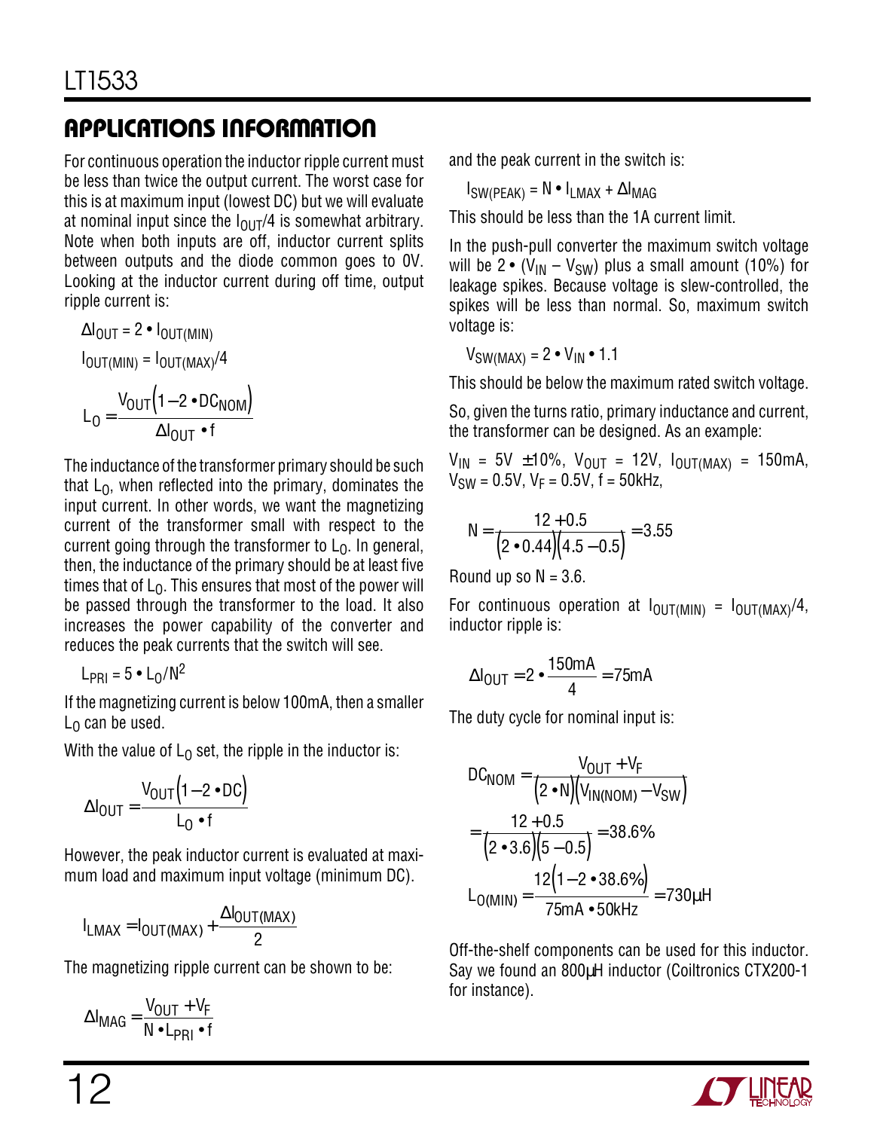For continuous operation the inductor ripple current must be less than twice the output current. The worst case for this is at maximum input (lowest DC) but we will evaluate at nominal input since the  $I_{\text{OUT}}/4$  is somewhat arbitrary. Note when both inputs are off, inductor current splits between outputs and the diode common goes to 0V. Looking at the inductor current during off time, output ripple current is:

$$
\Delta I_{OUT} = 2 \cdot I_{OUT(MIN)}
$$
  

$$
I_{OUT(MIN)} = I_{OUT(MAX)}/4
$$
  

$$
L_0 = \frac{V_{OUT}(1 - 2 \cdot DC_{NOM})}{\Delta I_{OUT} \cdot f}
$$

The inductance of the transformer primary should be such that  $L_0$ , when reflected into the primary, dominates the input current. In other words, we want the magnetizing current of the transformer small with respect to the current going through the transformer to  $L_0$ . In general, then, the inductance of the primary should be at least five times that of  $L_0$ . This ensures that most of the power will be passed through the transformer to the load. It also increases the power capability of the converter and reduces the peak currents that the switch will see.

$$
L_{PRI} = 5 \cdot L_0/N^2
$$

If the magnetizing current is below 100mA, then a smaller  $L_0$  can be used.

With the value of  $L_0$  set, the ripple in the inductor is:

$$
\Delta I_{\text{OUT}} = \frac{V_{\text{OUT}} \left(1 - 2 \cdot \text{DC}\right)}{L_0 \cdot f}
$$

However, the peak inductor current is evaluated at maximum load and maximum input voltage (minimum DC).

$$
I_{LMAX} = I_{OUT(MAX)} + \frac{\Delta I_{OUT(MAX)}}{2}
$$

The magnetizing ripple current can be shown to be:

$$
\Delta I_{\text{MAG}} = \frac{V_{\text{OUT}} + V_{\text{F}}}{N \cdot L_{\text{PRI}} \cdot f}
$$

and the peak current in the switch is:

 $I_{SW(PFAK)} = N \cdot I_{IMAX} + \Delta I_{MAG}$ 

This should be less than the 1A current limit.

In the push-pull converter the maximum switch voltage will be 2 • ( $V_{IN} - V_{SW}$ ) plus a small amount (10%) for leakage spikes. Because voltage is slew-controlled, the spikes will be less than normal. So, maximum switch voltage is:

 $V_{SW(MAX)} = 2 \cdot V_{IN} \cdot 1.1$ 

This should be below the maximum rated switch voltage.

So, given the turns ratio, primary inductance and current, the transformer can be designed. As an example:

 $V_{IN}$  = 5V  $\pm 10\%$ ,  $V_{OUT}$  = 12V,  $I_{OUT(MAX)}$  = 150mA,  $V_{SW} = 0.5V$ ,  $V_F = 0.5V$ ,  $f = 50kHz$ ,

$$
N = \frac{12 + 0.5}{(2 \cdot 0.44)(4.5 - 0.5)} = 3.55
$$

Round up so  $N = 3.6$ .

For continuous operation at  $I_{\text{OUT}}(M1N) = I_{\text{OUT}}(MAX)/4$ , inductor ripple is:

$$
\Delta I_{\text{OUT}} = 2 \cdot \frac{150 \text{mA}}{4} = 75 \text{mA}
$$

The duty cycle for nominal input is:

$$
DC_{NOM} = \frac{V_{OUT} + V_F}{(2 \cdot N)(V_{IN(NOM)} - V_{SW})}
$$
  
= 
$$
\frac{12 + 0.5}{(2 \cdot 3.6)(5 - 0.5)} = 38.6\%
$$
  

$$
L_{O(MIN)} = \frac{12(1 - 2 \cdot 38.6\%)}{75mA \cdot 50kHz} = 730\mu H
$$

Off-the-shelf components can be used for this inductor. Say we found an 800µH inductor (Coiltronics CTX200-1 for instance).

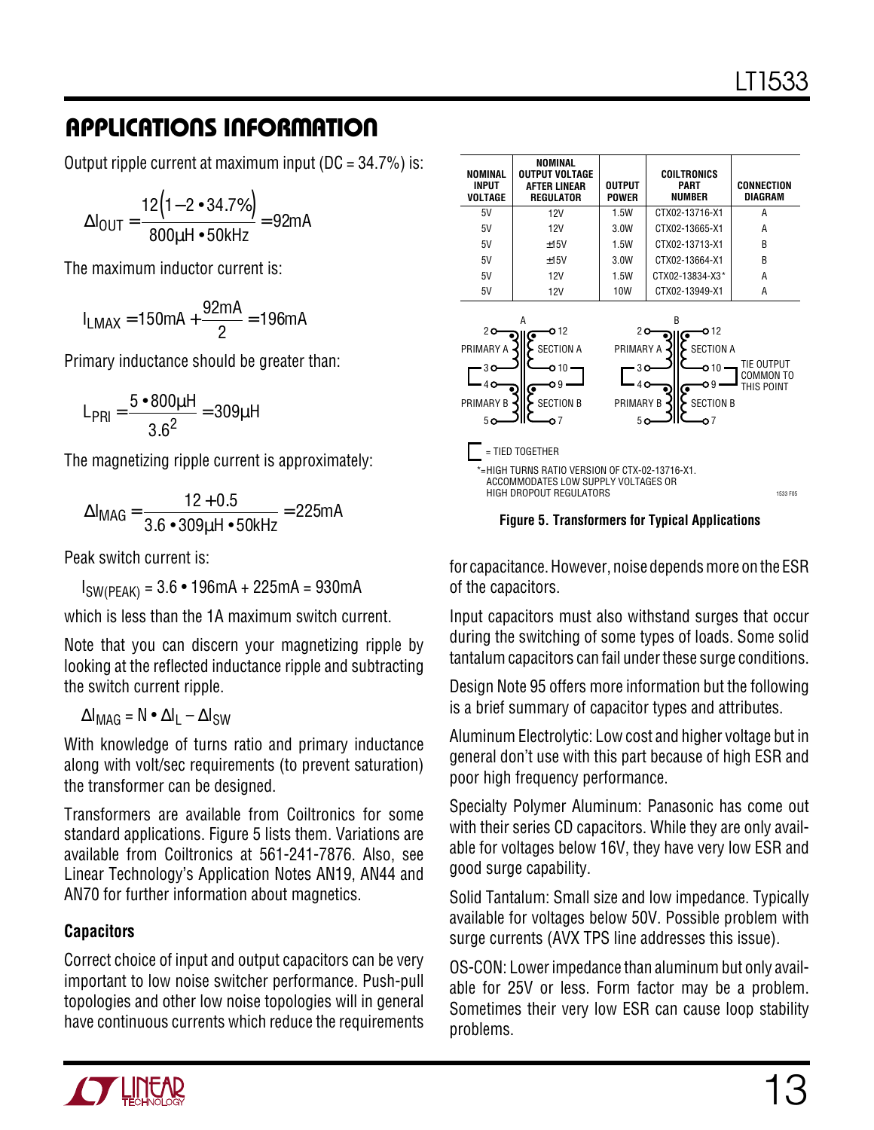Output ripple current at maximum input ( $DC = 34.7\%$ ) is:

$$
\Delta I_{\text{OUT}} = \frac{12(1 - 2 \cdot 34.7\%)}{800 \mu H \cdot 50 \text{kHz}} = 92 \text{mA}
$$

The maximum inductor current is:

$$
I_{LMAX} = 150mA + \frac{92mA}{2} = 196mA
$$

Primary inductance should be greater than:

$$
L_{PRI} = \frac{5 \cdot 800 \mu H}{3.6^2} = 309 \mu H
$$

The magnetizing ripple current is approximately:

$$
\Delta I_{\text{MAG}} = \frac{12 + 0.5}{3.6 \cdot 309 \mu H \cdot 50 \text{kHz}} = 225 \text{mA}
$$

Peak switch current is:

 $I_{SW(PEAK)} = 3.6 \cdot 196mA + 225mA = 930mA$ 

which is less than the 1A maximum switch current.

Note that you can discern your magnetizing ripple by looking at the reflected inductance ripple and subtracting the switch current ripple.

 $\Delta I_{\text{MAG}} = N \cdot \Delta I_{\text{I}} - \Delta I_{\text{SW}}$ 

With knowledge of turns ratio and primary inductance along with volt/sec requirements (to prevent saturation) the transformer can be designed.

Transformers are available from Coiltronics for some standard applications. Figure 5 lists them. Variations are available from Coiltronics at 561-241-7876. Also, see Linear Technology's Application Notes AN19, AN44 and AN70 for further information about magnetics.

#### **Capacitors**

Correct choice of input and output capacitors can be very important to low noise switcher performance. Push-pull topologies and other low noise topologies will in general have continuous currents which reduce the requirements

| NOMINAL<br><b>INPUT</b><br>VOLTAGE                                                                                                                                                                                                                                                            | NOMINAL<br>OUTPUT VOLTAGE<br><b>AFTER LINEAR</b><br><b>REGULATOR</b> | <b>OUTPUT</b><br><b>POWER</b> | <b>COILTRONICS</b><br><b>PART</b><br>NUMBER | <b>CONNECTION</b><br>DIAGRAM |  |
|-----------------------------------------------------------------------------------------------------------------------------------------------------------------------------------------------------------------------------------------------------------------------------------------------|----------------------------------------------------------------------|-------------------------------|---------------------------------------------|------------------------------|--|
| 5V                                                                                                                                                                                                                                                                                            | 12V                                                                  | 1.5W                          | CTX02-13716-X1                              | А                            |  |
| 5V                                                                                                                                                                                                                                                                                            | 12V                                                                  | 3.0W                          | CTX02-13665-X1                              | А                            |  |
| 5V                                                                                                                                                                                                                                                                                            | $+15V$                                                               | 1.5W                          | CTX02-13713-X1                              | R                            |  |
| 5V                                                                                                                                                                                                                                                                                            | $+15V$                                                               | 3.0W                          | CTX02-13664-X1                              | R                            |  |
| 5V                                                                                                                                                                                                                                                                                            | 12V                                                                  | 1.5W                          | CTX02-13834-X3*                             | А                            |  |
| 5V                                                                                                                                                                                                                                                                                            | 12V                                                                  | 10W                           | CTX02-13949-X1                              | A                            |  |
| R<br>А<br>20<br>O 12<br>20<br>O 12<br>PRIMARY A<br><b>SECTION A</b><br>PRIMARY A<br><b>SECTION A</b><br>TIE OUTPUT<br>O 10<br>30<br>30<br>o 10<br>COMMON TO<br>ი٩<br>THIS POINT<br>PRIMARY B<br><b>SECTION B</b><br>PRIMARY B<br><b>SECTION B</b><br>50<br>5 <sub>O</sub><br>о7<br>$^{\circ}$ |                                                                      |                               |                                             |                              |  |
| = TIED TOGETHER<br>*=HIGH TURNS RATIO VERSION OF CTX-02-13716-X1.<br>ACCOMMODATES LOW SUPPLY VOLTAGES OR<br>HIGH DROPOUT REGULATORS<br>1533 F05                                                                                                                                               |                                                                      |                               |                                             |                              |  |

**Figure 5. Transformers for Typical Applications**

for capacitance. However, noise depends more on the ESR of the capacitors.

Input capacitors must also withstand surges that occur during the switching of some types of loads. Some solid tantalum capacitors can fail under these surge conditions.

Design Note 95 offers more information but the following is a brief summary of capacitor types and attributes.

Aluminum Electrolytic: Low cost and higher voltage but in general don't use with this part because of high ESR and poor high frequency performance.

Specialty Polymer Aluminum: Panasonic has come out with their series CD capacitors. While they are only available for voltages below 16V, they have very low ESR and good surge capability.

Solid Tantalum: Small size and low impedance. Typically available for voltages below 50V. Possible problem with surge currents (AVX TPS line addresses this issue).

OS-CON: Lower impedance than aluminum but only available for 25V or less. Form factor may be a problem. Sometimes their very low ESR can cause loop stability problems.

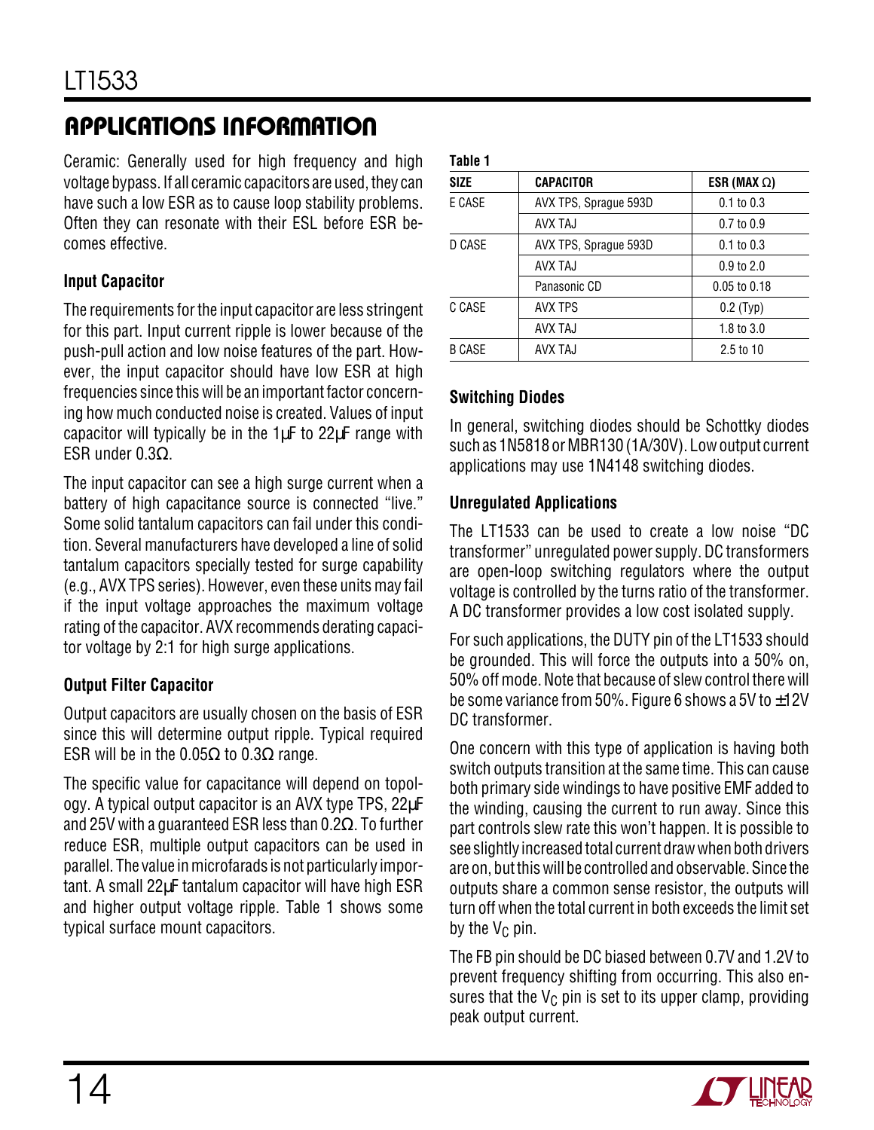Ceramic: Generally used for high frequency and high voltage bypass. If all ceramic capacitors are used, they can have such a low ESR as to cause loop stability problems. Often they can resonate with their ESL before ESR becomes effective.

#### **Input Capacitor**

The requirements for the input capacitor are less stringent for this part. Input current ripple is lower because of the push-pull action and low noise features of the part. However, the input capacitor should have low ESR at high frequencies since this will be an important factor concerning how much conducted noise is created. Values of input capacitor will typically be in the  $1\mu$ F to  $22\mu$ F range with ESR under 0.3Ω.

The input capacitor can see a high surge current when a battery of high capacitance source is connected "live." Some solid tantalum capacitors can fail under this condition. Several manufacturers have developed a line of solid tantalum capacitors specially tested for surge capability (e.g., AVX TPS series). However, even these units may fail if the input voltage approaches the maximum voltage rating of the capacitor. AVX recommends derating capacitor voltage by 2:1 for high surge applications.

#### **Output Filter Capacitor**

Output capacitors are usually chosen on the basis of ESR since this will determine output ripple. Typical required ESR will be in the 0.05Ω to 0.3Ω range.

The specific value for capacitance will depend on topology. A typical output capacitor is an AVX type TPS, 22µF and 25V with a guaranteed ESR less than 0.2 $\Omega$ . To further reduce ESR, multiple output capacitors can be used in parallel. The value in microfarads is not particularly important. A small 22µF tantalum capacitor will have high ESR and higher output voltage ripple. Table 1 shows some typical surface mount capacitors.

| Table 1       |                       |                       |
|---------------|-----------------------|-----------------------|
| <b>SIZE</b>   | <b>CAPACITOR</b>      | ESR (MAX $\Omega$ )   |
| E CASE        | AVX TPS, Sprague 593D | $0.1$ to $0.3$        |
|               | <b>AVX TAJ</b>        | $0.7$ to $0.9$        |
| D CASE        | AVX TPS, Sprague 593D | $0.1 \text{ to } 0.3$ |
|               | AVX TAJ               | $0.9$ to $2.0$        |
|               | Panasonic CD          | $0.05$ to $0.18$      |
| C CASE        | <b>AVX TPS</b>        | $0.2$ (Typ)           |
|               | AVX TAJ               | 1.8 to $3.0$          |
| <b>B CASE</b> | AVX TAJ               | $2.5$ to 10           |
|               |                       |                       |

#### **Switching Diodes**

In general, switching diodes should be Schottky diodes such as 1N5818 or MBR130 (1A/30V). Low output current applications may use 1N4148 switching diodes.

#### **Unregulated Applications**

The LT1533 can be used to create a low noise "DC transformer" unregulated power supply. DC transformers are open-loop switching regulators where the output voltage is controlled by the turns ratio of the transformer. A DC transformer provides a low cost isolated supply.

For such applications, the DUTY pin of the LT1533 should be grounded. This will force the outputs into a 50% on, 50% off mode. Note that because of slew control there will be some variance from 50%. Figure 6 shows a 5V to  $\pm$ 12V DC transformer.

One concern with this type of application is having both switch outputs transition at the same time. This can cause both primary side windings to have positive EMF added to the winding, causing the current to run away. Since this part controls slew rate this won't happen. It is possible to see slightly increased total current draw when both drivers are on, but this will be controlled and observable. Since the outputs share a common sense resistor, the outputs will turn off when the total current in both exceeds the limit set by the  $V_C$  pin.

The FB pin should be DC biased between 0.7V and 1.2V to prevent frequency shifting from occurring. This also ensures that the  $V_{C}$  pin is set to its upper clamp, providing peak output current.

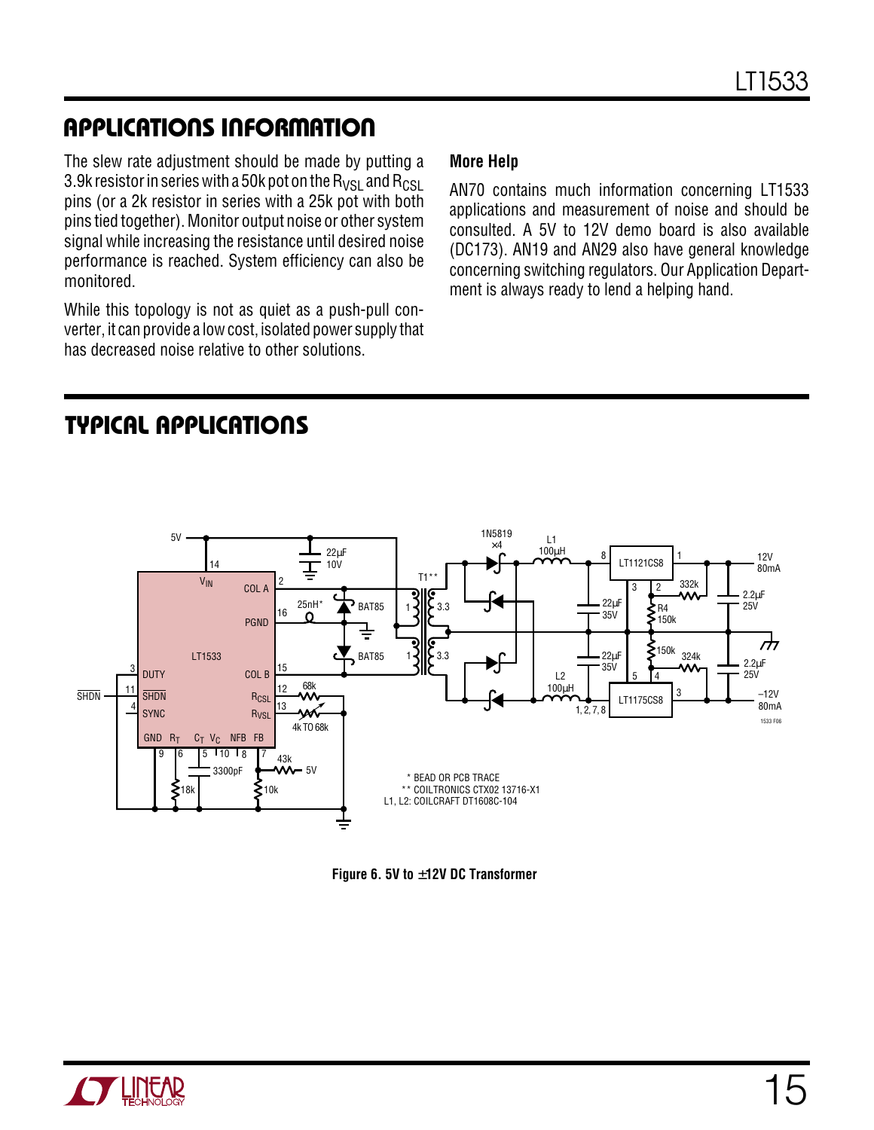The slew rate adjustment should be made by putting a 3.9k resistor in series with a 50k pot on the  $R_{VSI}$  and  $R_{CSL}$ pins (or a 2k resistor in series with a 25k pot with both pins tied together). Monitor output noise or other system signal while increasing the resistance until desired noise performance is reached. System efficiency can also be monitored.

While this topology is not as quiet as a push-pull converter, it can provide a low cost, isolated power supply that has decreased noise relative to other solutions.

#### **More Help**

AN70 contains much information concerning LT1533 applications and measurement of noise and should be consulted. A 5V to 12V demo board is also available (DC173). AN19 and AN29 also have general knowledge concerning switching regulators. Our Application Department is always ready to lend a helping hand.

### **TYPICAL APPLICATIONS U**



**Figure 6. 5V to** ±**12V DC Transformer**

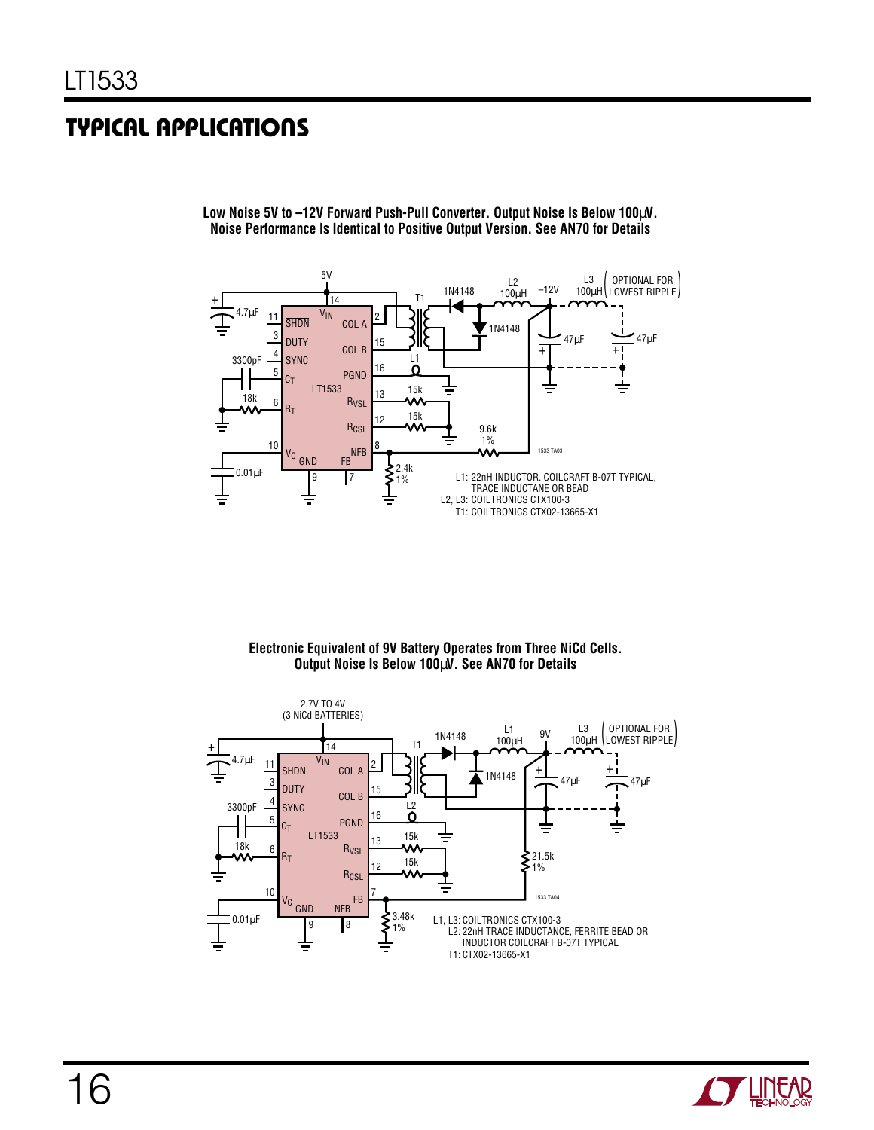### **TYPICAL APPLICATIONS U**



**Low Noise 5V to –12V Forward Push-Pull Converter. Output Noise Is Below 100**µ**V. Noise Performance Is Identical to Positive Output Version. See AN70 for Details**

> **Electronic Equivalent of 9V Battery Operates from Three NiCd Cells. Output Noise Is Below 100**µ**V. See AN70 for Details**



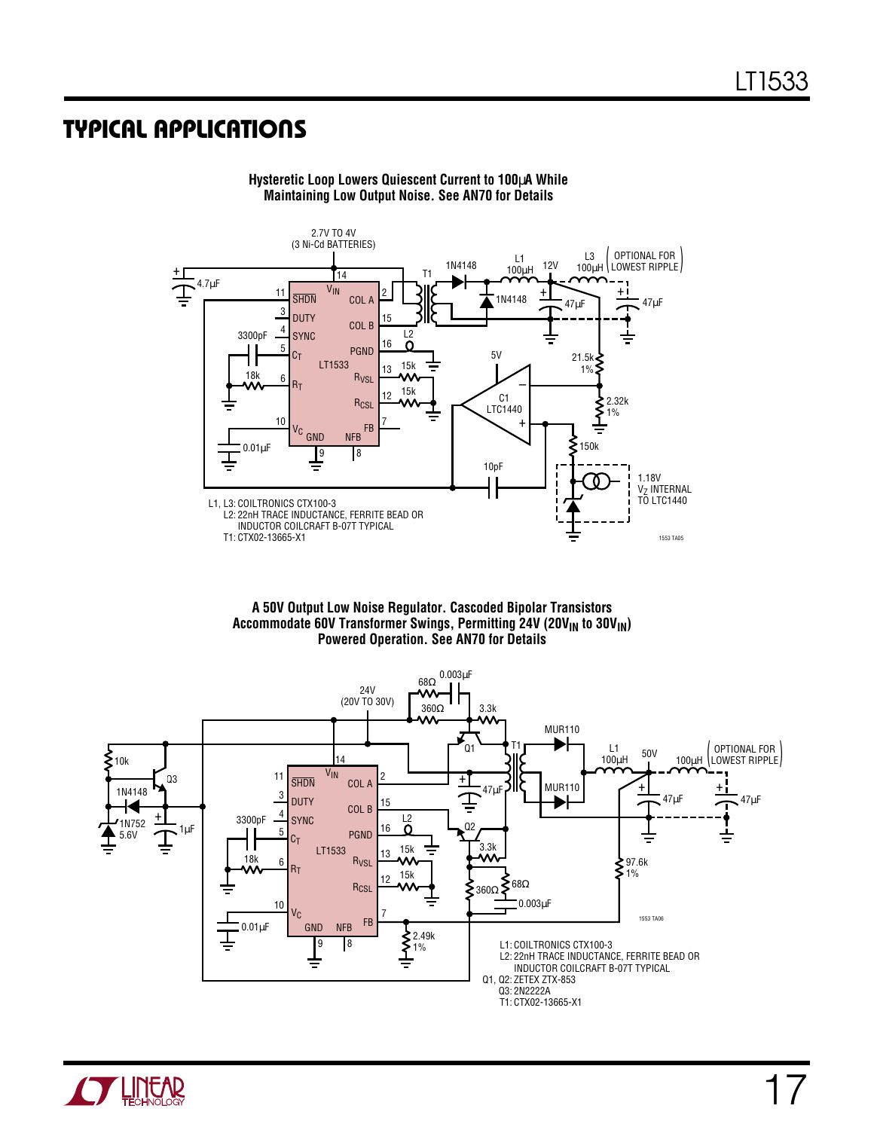### **TYPICAL APPLICATIONS U**



**Hysteretic Loop Lowers Quiescent Current to 100**µ**A While Maintaining Low Output Noise. See AN70 for Details**

**A 50V Output Low Noise Regulator. Cascoded Bipolar Transistors** Accommodate 60V Transformer Swings, Permitting 24V (20V<sub>IN</sub> to 30V<sub>IN</sub>) **Powered Operation. See AN70 for Details**



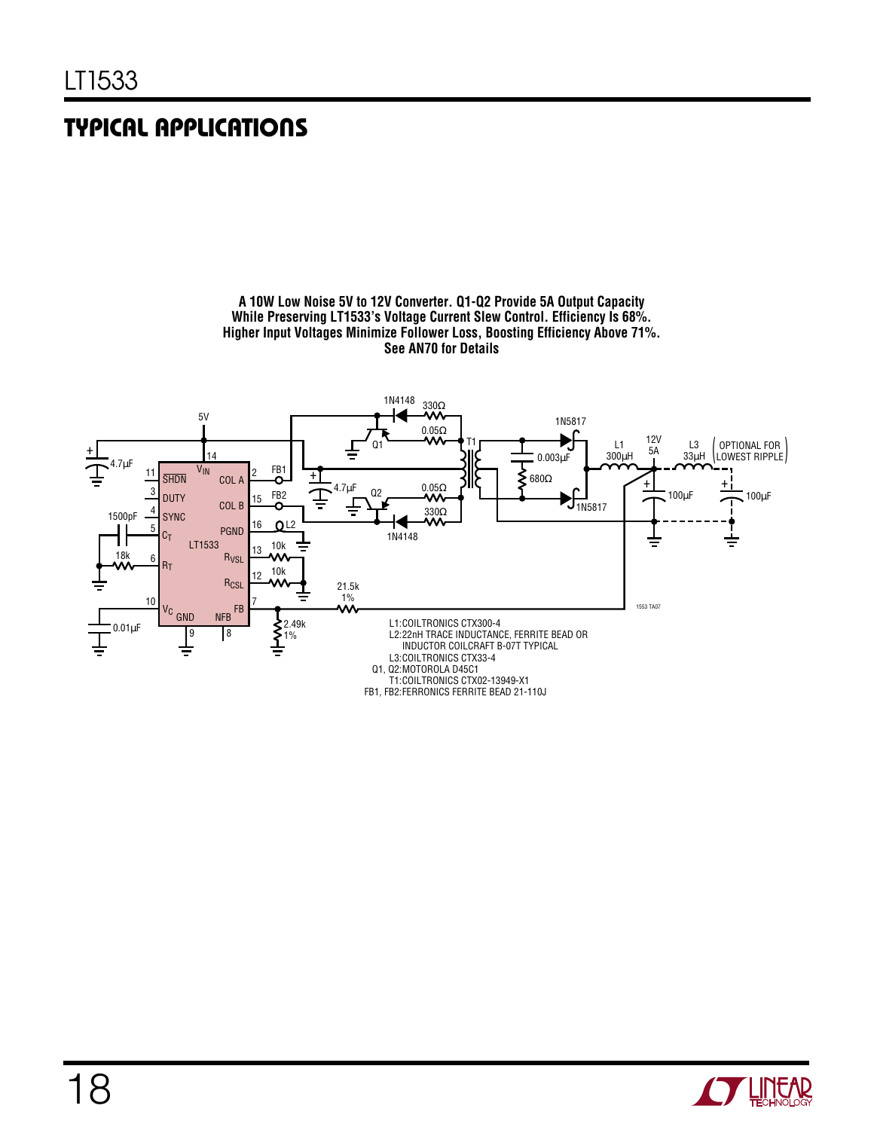## **TYPICAL APPLICATIONS U**



**A 10W Low Noise 5V to 12V Converter. Q1-Q2 Provide 5A Output Capacity While Preserving LT1533's Voltage Current Slew Control. Efficiency Is 68%. Higher Input Voltages Minimize Follower Loss, Boosting Efficiency Above 71%. See AN70 for Details**

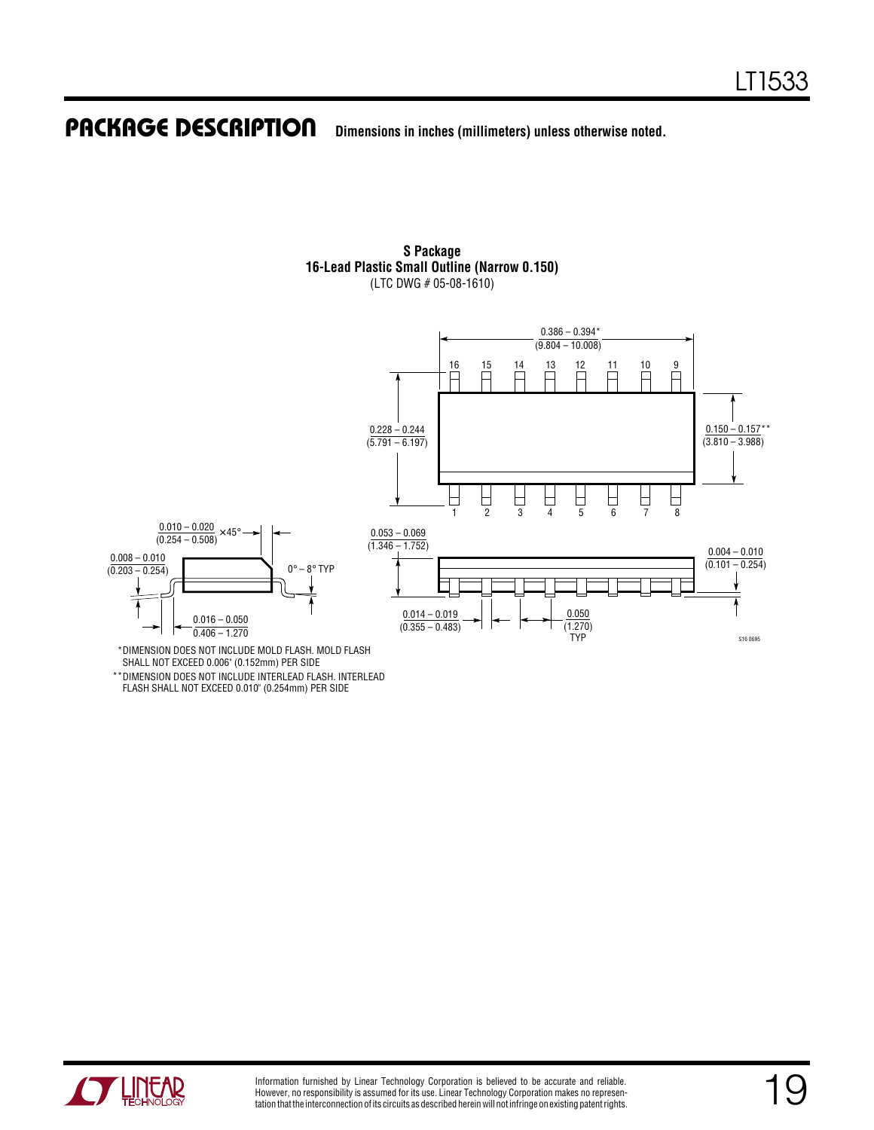#### **Dimensions in inches (millimeters) unless otherwise noted. PACKAGE DESCRIPTION**



**S Package 16-Lead Plastic Small Outline (Narrow 0.150)** (LTC DWG # 05-08-1610)

DIMENSION DOES NOT INCLUDE MOLD FLASH. MOLD FLASH \* SHALL NOT EXCEED 0.006" (0.152mm) PER SIDE

\*\*DIMENSION DOES NOT INCLUDE INTERLEAD FLASH. INTERLEAD FLASH SHALL NOT EXCEED 0.010" (0.254mm) PER SIDE